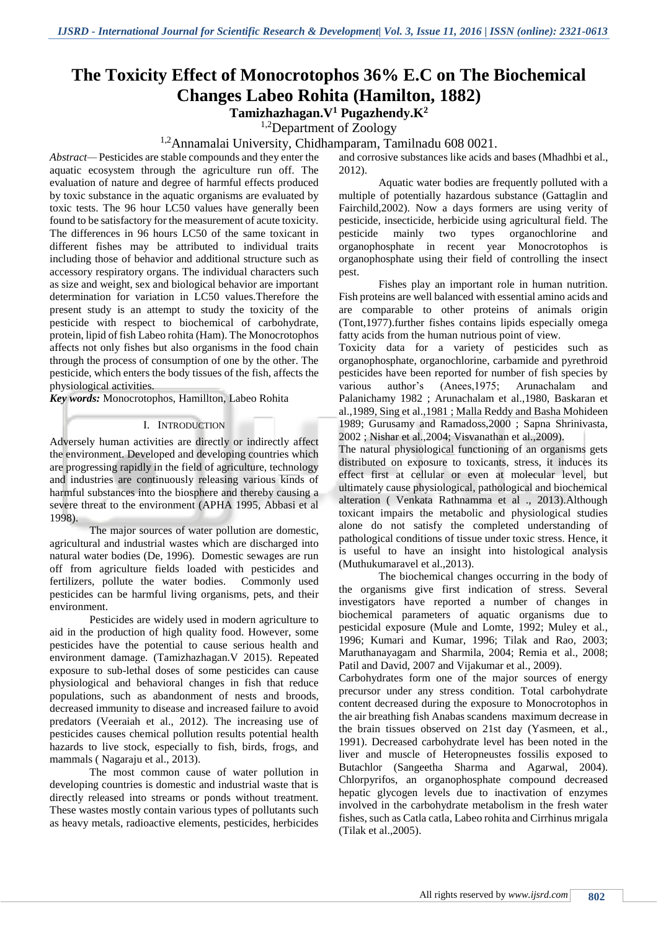# **The Toxicity Effect of Monocrotophos 36% E.C on The Biochemical Changes Labeo Rohita (Hamilton, 1882)**

**Tamizhazhagan.V<sup>1</sup> Pugazhendy.K<sup>2</sup>**

<sup>1,2</sup>Department of Zoology

1,2Annamalai University, Chidhamparam, Tamilnadu 608 0021.

*Abstract—* Pesticides are stable compounds and they enter the aquatic ecosystem through the agriculture run off. The evaluation of nature and degree of harmful effects produced by toxic substance in the aquatic organisms are evaluated by toxic tests. The 96 hour LC50 values have generally been found to be satisfactory for the measurement of acute toxicity. The differences in 96 hours LC50 of the same toxicant in different fishes may be attributed to individual traits including those of behavior and additional structure such as accessory respiratory organs. The individual characters such as size and weight, sex and biological behavior are important determination for variation in LC50 values.Therefore the present study is an attempt to study the toxicity of the pesticide with respect to biochemical of carbohydrate, protein, lipid of fish Labeo rohita (Ham). The Monocrotophos affects not only fishes but also organisms in the food chain through the process of consumption of one by the other. The pesticide, which enters the body tissues of the fish, affects the physiological activities.

*Key words:* Monocrotophos, Hamillton, Labeo Rohita

#### I. INTRODUCTION

Adversely human activities are directly or indirectly affect the environment. Developed and developing countries which are progressing rapidly in the field of agriculture, technology and industries are continuously releasing various kinds of harmful substances into the biosphere and thereby causing a severe threat to the environment (APHA 1995, Abbasi et al 1998).

The major sources of water pollution are domestic, agricultural and industrial wastes which are discharged into natural water bodies (De, 1996). Domestic sewages are run off from agriculture fields loaded with pesticides and fertilizers, pollute the water bodies. Commonly used pesticides can be harmful living organisms, pets, and their environment.

Pesticides are widely used in modern agriculture to aid in the production of high quality food. However, some pesticides have the potential to cause serious health and environment damage. (Tamizhazhagan.V 2015). Repeated exposure to sub-lethal doses of some pesticides can cause physiological and behavioral changes in fish that reduce populations, such as abandonment of nests and broods, decreased immunity to disease and increased failure to avoid predators (Veeraiah et al., 2012). The increasing use of pesticides causes chemical pollution results potential health hazards to live stock, especially to fish, birds, frogs, and mammals ( Nagaraju et al., 2013).

The most common cause of water pollution in developing countries is domestic and industrial waste that is directly released into streams or ponds without treatment. These wastes mostly contain various types of pollutants such as heavy metals, radioactive elements, pesticides, herbicides and corrosive substances like acids and bases (Mhadhbi et al., 2012).

Aquatic water bodies are frequently polluted with a multiple of potentially hazardous substance (Gattaglin and Fairchild,2002). Now a days formers are using verity of pesticide, insecticide, herbicide using agricultural field. The pesticide mainly two types organochlorine and organophosphate in recent year Monocrotophos is organophosphate using their field of controlling the insect pest.

Fishes play an important role in human nutrition. Fish proteins are well balanced with essential amino acids and are comparable to other proteins of animals origin (Tont,1977).further fishes contains lipids especially omega fatty acids from the human nutrious point of view.

Toxicity data for a variety of pesticides such as organophosphate, organochlorine, carbamide and pyrethroid pesticides have been reported for number of fish species by various author's (Anees,1975; Arunachalam and Palanichamy 1982 ; Arunachalam et al.,1980, Baskaran et al.,1989, Sing et al.,1981 ; Malla Reddy and Basha Mohideen 1989; Gurusamy and Ramadoss,2000 ; Sapna Shrinivasta, 2002 ; Nishar et al.,2004; Visvanathan et al.,2009).

The natural physiological functioning of an organisms gets distributed on exposure to toxicants, stress, it induces its effect first at cellular or even at molecular level, but ultimately cause physiological, pathological and biochemical alteration ( Venkata Rathnamma et al ., 2013).Although toxicant impairs the metabolic and physiological studies alone do not satisfy the completed understanding of pathological conditions of tissue under toxic stress. Hence, it is useful to have an insight into histological analysis (Muthukumaravel et al.,2013).

The biochemical changes occurring in the body of the organisms give first indication of stress. Several investigators have reported a number of changes in biochemical parameters of aquatic organisms due to pesticidal exposure (Mule and Lomte, 1992; Muley et al., 1996; Kumari and Kumar, 1996; Tilak and Rao, 2003; Maruthanayagam and Sharmila, 2004; Remia et al., 2008; Patil and David, 2007 and Vijakumar et al., 2009).

Carbohydrates form one of the major sources of energy precursor under any stress condition. Total carbohydrate content decreased during the exposure to Monocrotophos in the air breathing fish Anabas scandens maximum decrease in the brain tissues observed on 21st day (Yasmeen, et al., 1991). Decreased carbohydrate level has been noted in the liver and muscle of Heteropneustes fossilis exposed to Butachlor (Sangeetha Sharma and Agarwal, 2004). Chlorpyrifos, an organophosphate compound decreased hepatic glycogen levels due to inactivation of enzymes involved in the carbohydrate metabolism in the fresh water fishes, such as Catla catla, Labeo rohita and Cirrhinus mrigala (Tilak et al.,2005).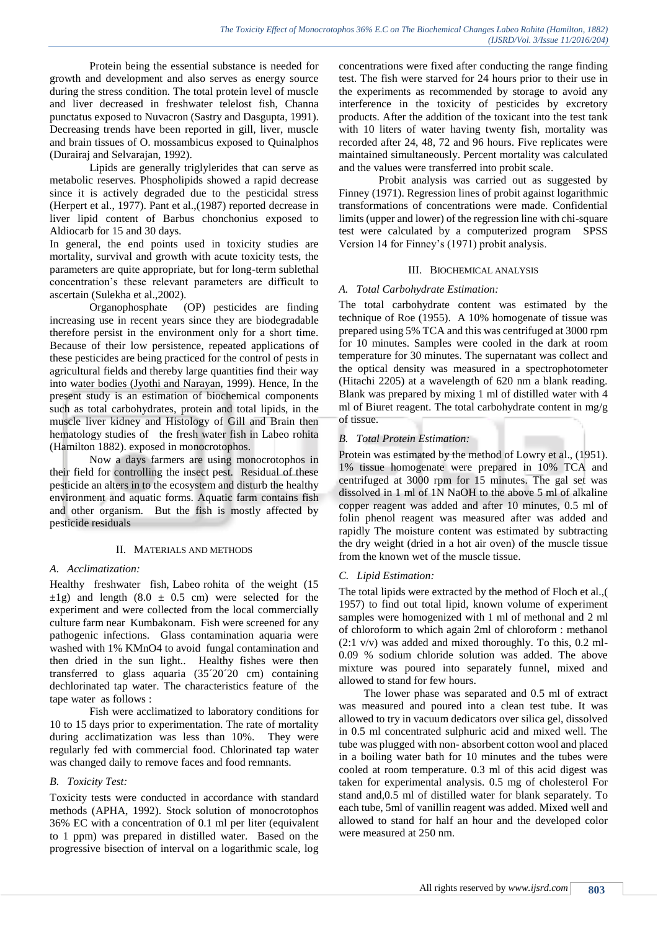Protein being the essential substance is needed for growth and development and also serves as energy source during the stress condition. The total protein level of muscle and liver decreased in freshwater telelost fish, Channa punctatus exposed to Nuvacron (Sastry and Dasgupta, 1991). Decreasing trends have been reported in gill, liver, muscle and brain tissues of O. mossambicus exposed to Quinalphos (Durairaj and Selvarajan, 1992).

Lipids are generally triglylerides that can serve as metabolic reserves. Phospholipids showed a rapid decrease since it is actively degraded due to the pesticidal stress (Herpert et al., 1977). Pant et al.,(1987) reported decrease in liver lipid content of Barbus chonchonius exposed to Aldiocarb for 15 and 30 days.

In general, the end points used in toxicity studies are mortality, survival and growth with acute toxicity tests, the parameters are quite appropriate, but for long-term sublethal concentration's these relevant parameters are difficult to ascertain (Sulekha et al.,2002).

Organophosphate (OP) pesticides are finding increasing use in recent years since they are biodegradable therefore persist in the environment only for a short time. Because of their low persistence, repeated applications of these pesticides are being practiced for the control of pests in agricultural fields and thereby large quantities find their way into water bodies (Jyothi and Narayan, 1999). Hence, In the present study is an estimation of biochemical components such as total carbohydrates, protein and total lipids, in the muscle liver kidney and Histology of Gill and Brain then hematology studies of the fresh water fish in Labeo rohita (Hamilton 1882). exposed in monocrotophos.

Now a days farmers are using monocrotophos in their field for controlling the insect pest. Residual of these pesticide an alters in to the ecosystem and disturb the healthy environment and aquatic forms. Aquatic farm contains fish and other organism. But the fish is mostly affected by pesticide residuals

# II. MATERIALS AND METHODS

# *A. Acclimatization:*

Healthy freshwater fish, Labeo rohita of the weight (15  $\pm 1$ g) and length (8.0  $\pm$  0.5 cm) were selected for the experiment and were collected from the local commercially culture farm near Kumbakonam. Fish were screened for any pathogenic infections. Glass contamination aquaria were washed with 1% KMnO4 to avoid fungal contamination and then dried in the sun light.. Healthy fishes were then transferred to glass aquaria (35´20´20 cm) containing dechlorinated tap water. The characteristics feature of the tape water as follows :

Fish were acclimatized to laboratory conditions for 10 to 15 days prior to experimentation. The rate of mortality during acclimatization was less than 10%. They were regularly fed with commercial food. Chlorinated tap water was changed daily to remove faces and food remnants.

# *B. Toxicity Test:*

Toxicity tests were conducted in accordance with standard methods (APHA, 1992). Stock solution of monocrotophos 36% EC with a concentration of 0.1 ml per liter (equivalent to 1 ppm) was prepared in distilled water. Based on the progressive bisection of interval on a logarithmic scale, log

concentrations were fixed after conducting the range finding test. The fish were starved for 24 hours prior to their use in the experiments as recommended by storage to avoid any interference in the toxicity of pesticides by excretory products. After the addition of the toxicant into the test tank with 10 liters of water having twenty fish, mortality was recorded after 24, 48, 72 and 96 hours. Five replicates were maintained simultaneously. Percent mortality was calculated and the values were transferred into probit scale.

Probit analysis was carried out as suggested by Finney (1971). Regression lines of probit against logarithmic transformations of concentrations were made. Confidential limits (upper and lower) of the regression line with chi-square test were calculated by a computerized program SPSS Version 14 for Finney's (1971) probit analysis.

# III. BIOCHEMICAL ANALYSIS

# *A. Total Carbohydrate Estimation:*

The total carbohydrate content was estimated by the technique of Roe (1955). A 10% homogenate of tissue was prepared using 5% TCA and this was centrifuged at 3000 rpm for 10 minutes. Samples were cooled in the dark at room temperature for 30 minutes. The supernatant was collect and the optical density was measured in a spectrophotometer (Hitachi 2205) at a wavelength of 620 nm a blank reading. Blank was prepared by mixing 1 ml of distilled water with 4 ml of Biuret reagent. The total carbohydrate content in mg/g of tissue.

# *B. Total Protein Estimation:*

Protein was estimated by the method of Lowry et al., (1951). 1% tissue homogenate were prepared in 10% TCA and centrifuged at 3000 rpm for 15 minutes. The gal set was dissolved in 1 ml of 1N NaOH to the above 5 ml of alkaline copper reagent was added and after 10 minutes, 0.5 ml of folin phenol reagent was measured after was added and rapidly The moisture content was estimated by subtracting the dry weight (dried in a hot air oven) of the muscle tissue from the known wet of the muscle tissue.

# *C. Lipid Estimation:*

The total lipids were extracted by the method of Floch et al.,( 1957) to find out total lipid, known volume of experiment samples were homogenized with 1 ml of methonal and 2 ml of chloroform to which again 2ml of chloroform : methanol (2:1 v/v) was added and mixed thoroughly. To this, 0.2 ml-0.09 % sodium chloride solution was added. The above mixture was poured into separately funnel, mixed and allowed to stand for few hours.

 The lower phase was separated and 0.5 ml of extract was measured and poured into a clean test tube. It was allowed to try in vacuum dedicators over silica gel, dissolved in 0.5 ml concentrated sulphuric acid and mixed well. The tube was plugged with non- absorbent cotton wool and placed in a boiling water bath for 10 minutes and the tubes were cooled at room temperature. 0.3 ml of this acid digest was taken for experimental analysis. 0.5 mg of cholesterol For stand and,0.5 ml of distilled water for blank separately. To each tube, 5ml of vanillin reagent was added. Mixed well and allowed to stand for half an hour and the developed color were measured at 250 nm.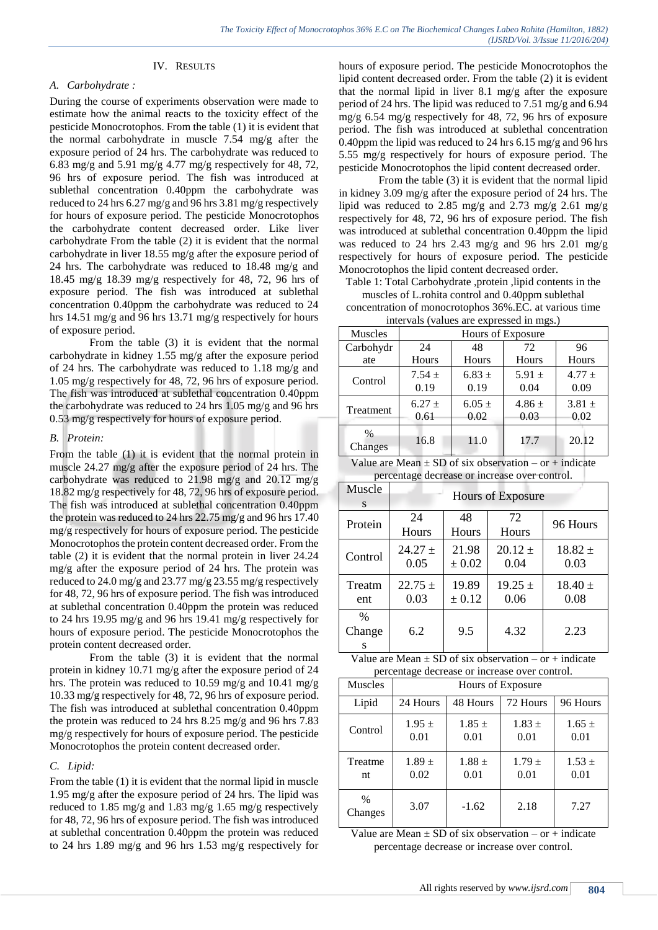# IV. RESULTS

# *A. Carbohydrate :*

During the course of experiments observation were made to estimate how the animal reacts to the toxicity effect of the pesticide Monocrotophos. From the table (1) it is evident that the normal carbohydrate in muscle 7.54 mg/g after the exposure period of 24 hrs. The carbohydrate was reduced to 6.83 mg/g and 5.91 mg/g 4.77 mg/g respectively for 48, 72, 96 hrs of exposure period. The fish was introduced at sublethal concentration 0.40ppm the carbohydrate was reduced to 24 hrs 6.27 mg/g and 96 hrs 3.81 mg/g respectively for hours of exposure period. The pesticide Monocrotophos the carbohydrate content decreased order. Like liver carbohydrate From the table (2) it is evident that the normal carbohydrate in liver 18.55 mg/g after the exposure period of 24 hrs. The carbohydrate was reduced to 18.48 mg/g and 18.45 mg/g 18.39 mg/g respectively for 48, 72, 96 hrs of exposure period. The fish was introduced at sublethal concentration 0.40ppm the carbohydrate was reduced to 24 hrs 14.51 mg/g and 96 hrs 13.71 mg/g respectively for hours of exposure period.

From the table (3) it is evident that the normal carbohydrate in kidney 1.55 mg/g after the exposure period of 24 hrs. The carbohydrate was reduced to 1.18 mg/g and 1.05 mg/g respectively for 48, 72, 96 hrs of exposure period. The fish was introduced at sublethal concentration 0.40ppm the carbohydrate was reduced to 24 hrs 1.05 mg/g and 96 hrs 0.53 mg/g respectively for hours of exposure period.

# *B. Protein:*

From the table (1) it is evident that the normal protein in muscle 24.27 mg/g after the exposure period of 24 hrs. The carbohydrate was reduced to 21.98 mg/g and 20.12 mg/g 18.82 mg/g respectively for 48, 72, 96 hrs of exposure period. The fish was introduced at sublethal concentration 0.40ppm the protein was reduced to 24 hrs 22.75 mg/g and 96 hrs 17.40 mg/g respectively for hours of exposure period. The pesticide Monocrotophos the protein content decreased order. From the table (2) it is evident that the normal protein in liver 24.24 mg/g after the exposure period of 24 hrs. The protein was reduced to 24.0 mg/g and 23.77 mg/g 23.55 mg/g respectively for 48, 72, 96 hrs of exposure period. The fish was introduced at sublethal concentration 0.40ppm the protein was reduced to 24 hrs 19.95 mg/g and 96 hrs 19.41 mg/g respectively for hours of exposure period. The pesticide Monocrotophos the protein content decreased order.

From the table (3) it is evident that the normal protein in kidney 10.71 mg/g after the exposure period of 24 hrs. The protein was reduced to 10.59 mg/g and 10.41 mg/g 10.33 mg/g respectively for 48, 72, 96 hrs of exposure period. The fish was introduced at sublethal concentration 0.40ppm the protein was reduced to 24 hrs 8.25 mg/g and 96 hrs 7.83 mg/g respectively for hours of exposure period. The pesticide Monocrotophos the protein content decreased order.

# *C. Lipid:*

From the table (1) it is evident that the normal lipid in muscle 1.95 mg/g after the exposure period of 24 hrs. The lipid was reduced to 1.85 mg/g and 1.83 mg/g 1.65 mg/g respectively for 48, 72, 96 hrs of exposure period. The fish was introduced at sublethal concentration 0.40ppm the protein was reduced to 24 hrs 1.89 mg/g and 96 hrs 1.53 mg/g respectively for

hours of exposure period. The pesticide Monocrotophos the lipid content decreased order. From the table (2) it is evident that the normal lipid in liver 8.1 mg/g after the exposure period of 24 hrs. The lipid was reduced to 7.51 mg/g and 6.94 mg/g 6.54 mg/g respectively for 48, 72, 96 hrs of exposure period. The fish was introduced at sublethal concentration 0.40ppm the lipid was reduced to 24 hrs 6.15 mg/g and 96 hrs 5.55 mg/g respectively for hours of exposure period. The pesticide Monocrotophos the lipid content decreased order.

From the table (3) it is evident that the normal lipid in kidney 3.09 mg/g after the exposure period of 24 hrs. The lipid was reduced to 2.85 mg/g and 2.73 mg/g 2.61 mg/g respectively for 48, 72, 96 hrs of exposure period. The fish was introduced at sublethal concentration 0.40ppm the lipid was reduced to 24 hrs 2.43 mg/g and 96 hrs 2.01 mg/g respectively for hours of exposure period. The pesticide Monocrotophos the lipid content decreased order.

Table 1: Total Carbohydrate ,protein ,lipid contents in the muscles of L.rohita control and 0.40ppm sublethal

concentration of monocrotophos 36%.EC. at various time intervals (values are expressed in mos.)

| $\mu$ and $\mu$ and $\mu$ and $\mu$ and $\mu$ and $\mu$ and $\mu$ |                    |                    |                    |                    |  |  |
|-------------------------------------------------------------------|--------------------|--------------------|--------------------|--------------------|--|--|
| <b>Muscles</b>                                                    |                    | Hours of Exposure  |                    |                    |  |  |
| Carbohydr                                                         | 24                 | 48                 | 72                 | 96                 |  |  |
| ate                                                               | Hours              | Hours              | Hours              | Hours              |  |  |
| Control                                                           | $7.54 \pm$<br>0.19 | $6.83 \pm$<br>0.19 | 5.91 $\pm$<br>0.04 | $4.77 \pm$<br>0.09 |  |  |
| Treatment                                                         | $6.27 +$<br>0.61   | $6.05 \pm$<br>0.02 | $4.86 \pm$<br>0.03 | $3.81 \pm$<br>0.02 |  |  |
| $\%$<br>Changes                                                   | 16.8               | 11.0               | 17.7               | 20.12              |  |  |

| Value are Mean $\pm$ SD of six observation – or + indicate |  |  |                                               |  |
|------------------------------------------------------------|--|--|-----------------------------------------------|--|
|                                                            |  |  | percentage decrease or increase over control. |  |

| Muscle<br>S    | <b>Hours of Exposure</b> |                     |                     |                     |  |  |
|----------------|--------------------------|---------------------|---------------------|---------------------|--|--|
| Protein        | 24<br>Hours              | 48<br><b>Hours</b>  | 72<br>Hours         | 96 Hours            |  |  |
| Control        | $24.27 +$<br>0.05        | 21.98<br>± 0.02     | $20.12 \pm$<br>0.04 | $18.82 \pm$<br>0.03 |  |  |
| Treatm<br>ent  | $22.75 +$<br>0.03        | 19.89<br>$\pm 0.12$ | $19.25 \pm$<br>0.06 | $18.40 \pm$<br>0.08 |  |  |
| $\%$<br>Change | 6.2                      | 9.5                 | 4.32                | 2.23                |  |  |

| Value are Mean $\pm$ SD of six observation – or + indicate |
|------------------------------------------------------------|
| percentage decrease or increase over control.              |

| <b>Muscles</b>  | Hours of Exposure  |                    |                    |                    |  |
|-----------------|--------------------|--------------------|--------------------|--------------------|--|
| Lipid           | 24 Hours           | 48 Hours           | 72 Hours           | 96 Hours           |  |
| Control         | $1.95 \pm$<br>0.01 | $1.85 \pm$<br>0.01 | $1.83 \pm$<br>0.01 | $1.65 \pm$<br>0.01 |  |
| Treatme<br>nt   | $1.89 \pm$<br>0.02 | $1.88 \pm$<br>0.01 | $1.79 \pm$<br>0.01 | $1.53 \pm$<br>0.01 |  |
| $\%$<br>Changes | 3.07               | $-1.62$            | 2.18               | 7.27               |  |

Value are Mean  $\pm$  SD of six observation – or + indicate percentage decrease or increase over control.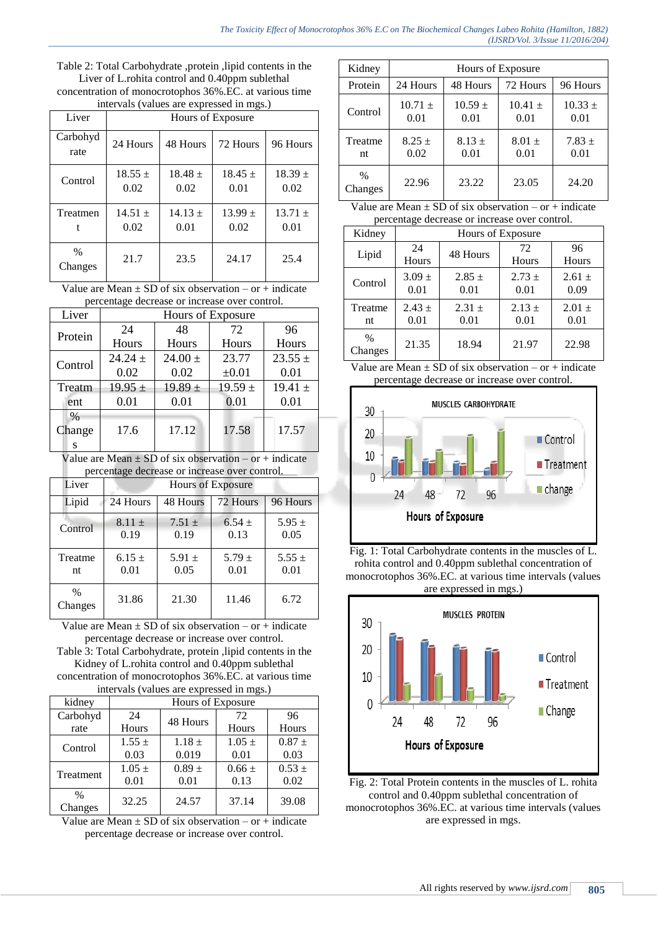Table 2: Total Carbohydrate ,protein ,lipid contents in the Liver of L.rohita control and 0.40ppm sublethal concentration of monocrotophos 36%.EC. at various time intervals (values are expressed in mgs.)

| mervals (values are expressed in migs.) |                   |                     |                   |                     |  |  |
|-----------------------------------------|-------------------|---------------------|-------------------|---------------------|--|--|
| Liver                                   |                   | Hours of Exposure   |                   |                     |  |  |
| Carbohyd<br>rate                        | 24 Hours          | 48 Hours            | 72 Hours          | 96 Hours            |  |  |
| Control                                 | $18.55 +$<br>0.02 | $18.48 \pm$<br>0.02 | $18.45 +$<br>0.01 | $18.39 \pm$<br>0.02 |  |  |
| Treatmen                                | $14.51 +$<br>0.02 | $14.13 +$<br>0.01   | $13.99 +$<br>0.02 | $13.71 +$<br>0.01   |  |  |
| $\%$<br>Changes                         | 21.7              | 23.5                | 24.17             | 25.4                |  |  |

Value are Mean  $\pm$  SD of six observation – or  $+$  indicate percentage decrease or increase over control.

| percentage accrease of increase over control. |             |                   |             |             |  |  |
|-----------------------------------------------|-------------|-------------------|-------------|-------------|--|--|
| Liver                                         |             | Hours of Exposure |             |             |  |  |
|                                               | 24          | 48                | 72          | 96          |  |  |
| Protein                                       | Hours       | Hours             | Hours       | Hours       |  |  |
| Control                                       | $24.24 \pm$ | $24.00 \pm$       | 23.77       | $23.55 \pm$ |  |  |
|                                               | 0.02        | 0.02              | $\pm 0.01$  | 0.01        |  |  |
| Treatm                                        | $19.95 \pm$ | $19.89 \pm$       | $19.59 \pm$ | $19.41 \pm$ |  |  |
| ent                                           | 0.01        | 0.01              | 0.01        | 0.01        |  |  |
| $\%$                                          |             |                   |             |             |  |  |
| Change                                        | 17.6        | 17.12             | 17.58       | 17.57       |  |  |
| S                                             |             |                   |             |             |  |  |

Value are Mean  $\pm$  SD of six observation – or + indicate percentage decrease or increase over control.

| percentage accrease of mercase over control. |                    |                    |                    |                    |  |  |  |
|----------------------------------------------|--------------------|--------------------|--------------------|--------------------|--|--|--|
| Liver                                        |                    | Hours of Exposure  |                    |                    |  |  |  |
| Lipid                                        | 24 Hours           | 48 Hours           | 72 Hours           | 96 Hours           |  |  |  |
| Control                                      | $8.11 \pm$<br>0.19 | $7.51 \pm$<br>0.19 | $6.54 \pm$<br>0.13 | 5.95 $\pm$<br>0.05 |  |  |  |
| Treatme<br>nt                                | $6.15 \pm$<br>0.01 | 5.91 $\pm$<br>0.05 | $5.79 +$<br>0.01   | $5.55 \pm$<br>0.01 |  |  |  |
| $\%$<br>Changes                              | 31.86              | 21.30              | 11.46              | 6.72               |  |  |  |

Value are Mean  $\pm$  SD of six observation – or + indicate percentage decrease or increase over control. Table 3: Total Carbohydrate, protein ,lipid contents in the

Kidney of L.rohita control and 0.40ppm sublethal concentration of monocrotophos 36%.EC. at various time intervals (values are expressed in mgs.)

| kidney          | Hours of Exposure |            |            |            |  |
|-----------------|-------------------|------------|------------|------------|--|
| Carbohyd        | 24                |            | 72         | 96         |  |
| rate            | Hours             | 48 Hours   | Hours      | Hours      |  |
| Control         | $1.55 \pm$        | $1.18 \pm$ | $1.05 \pm$ | $0.87 +$   |  |
|                 | 0.03              | 0.019      | 0.01       | 0.03       |  |
| Treatment       | $1.05 \pm$        | $0.89 \pm$ | $0.66 \pm$ | $0.53 \pm$ |  |
|                 | 0.01              | 0.01       | 0.13       | 0.02       |  |
| $\%$<br>Changes | 32.25             | 24.57      | 37.14      | 39.08      |  |
|                 |                   |            |            |            |  |

Value are Mean  $\pm$  SD of six observation – or + indicate percentage decrease or increase over control.

| Kidney          | Hours of Exposure   |                     |                     |                     |  |
|-----------------|---------------------|---------------------|---------------------|---------------------|--|
| Protein         | 24 Hours            | 48 Hours            | 72 Hours            | 96 Hours            |  |
| Control         | $10.71 \pm$<br>0.01 | $10.59 \pm$<br>0.01 | $10.41 \pm$<br>0.01 | $10.33 \pm$<br>0.01 |  |
| Treatme<br>nt   | $8.25 \pm$<br>0.02  | $8.13 +$<br>0.01    | $8.01 \pm$<br>0.01  | $7.83 \pm$<br>0.01  |  |
| $\%$<br>Changes | 22.96               | 23.22               | 23.05               | 24.20               |  |

Value are Mean  $\pm$  SD of six observation – or + indicate percentage decrease or increase over control.

| Kidney                   | Hours of Exposure  |                    |                    |                    |  |
|--------------------------|--------------------|--------------------|--------------------|--------------------|--|
| Lipid                    | 24<br>Hours        | 48 Hours           | 72<br>Hours        | 96<br>Hours        |  |
| Control                  | $3.09 \pm$<br>0.01 | $2.85 \pm$<br>0.01 | $2.73 +$<br>0.01   | $2.61 \pm$<br>0.09 |  |
| Treatme<br>nt            | $2.43 +$<br>0.01   | $2.31 \pm$<br>0.01 | $2.13 \pm$<br>0.01 | $2.01 \pm$<br>0.01 |  |
| $\frac{0}{0}$<br>Changes | 21.35              | 18.94              | 21.97              | 22.98              |  |

Value are Mean  $\pm$  SD of six observation – or + indicate percentage decrease or increase over control.



Fig. 1: Total Carbohydrate contents in the muscles of L. rohita control and 0.40ppm sublethal concentration of monocrotophos 36%.EC. at various time intervals (values are expressed in mgs.)



Fig. 2: Total Protein contents in the muscles of L. rohita control and 0.40ppm sublethal concentration of monocrotophos 36%.EC. at various time intervals (values are expressed in mgs.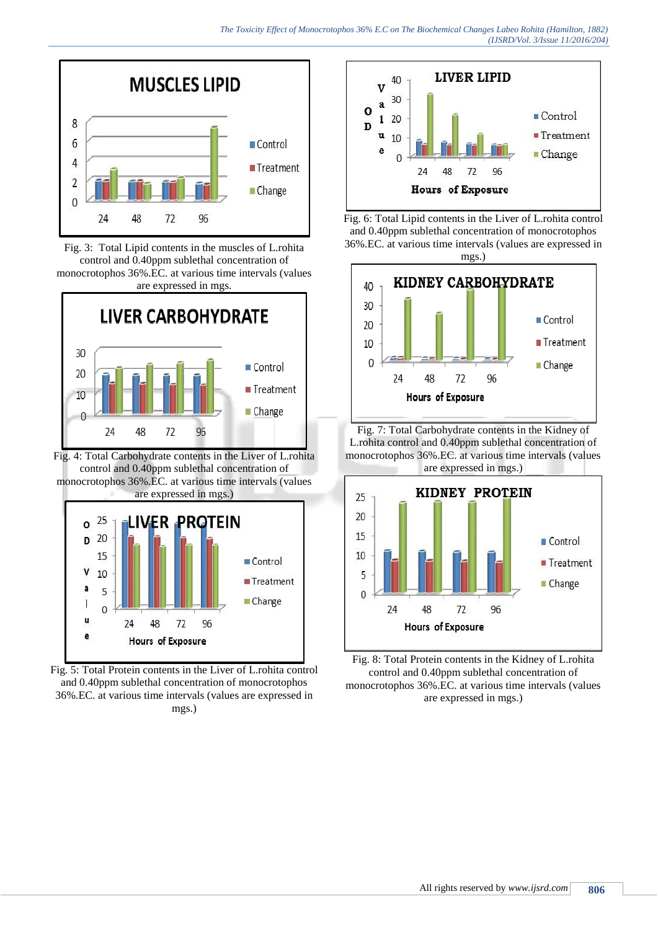

Fig. 3: Total Lipid contents in the muscles of L.rohita control and 0.40ppm sublethal concentration of monocrotophos 36%.EC. at various time intervals (values are expressed in mgs.



Fig. 4: Total Carbohydrate contents in the Liver of L.rohita control and 0.40ppm sublethal concentration of monocrotophos 36%.EC. at various time intervals (values are expressed in mgs.)



Fig. 5: Total Protein contents in the Liver of L.rohita control and 0.40ppm sublethal concentration of monocrotophos 36%.EC. at various time intervals (values are expressed in mgs.)







Fig. 7: Total Carbohydrate contents in the Kidney of L.rohita control and 0.40ppm sublethal concentration of monocrotophos 36%.EC. at various time intervals (values are expressed in mgs.)



Fig. 8: Total Protein contents in the Kidney of L.rohita control and 0.40ppm sublethal concentration of monocrotophos 36%.EC. at various time intervals (values are expressed in mgs.)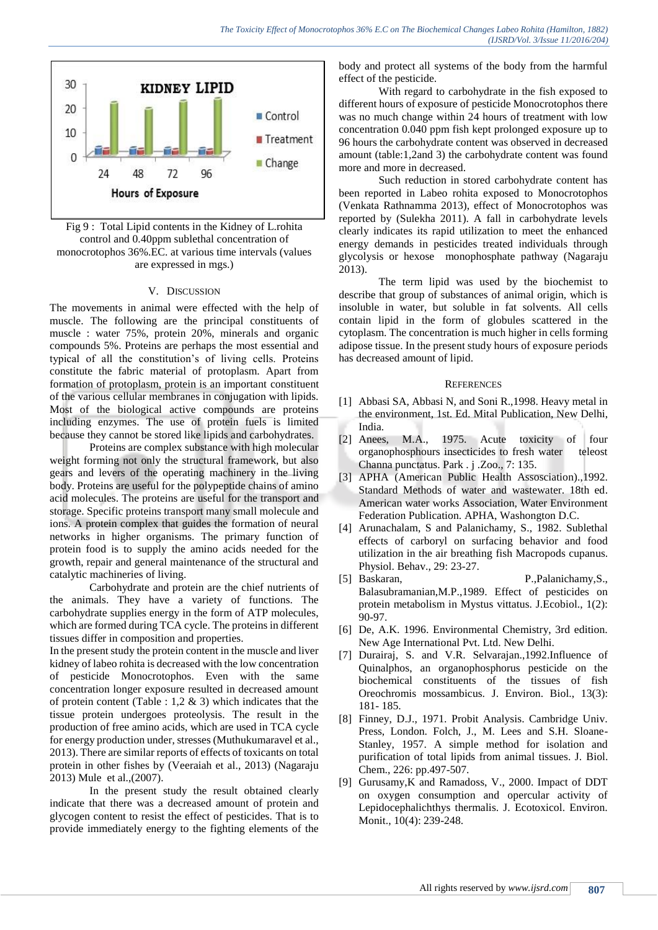

Fig 9 : Total Lipid contents in the Kidney of L.rohita control and 0.40ppm sublethal concentration of monocrotophos 36%.EC. at various time intervals (values are expressed in mgs.)

#### V. DISCUSSION

The movements in animal were effected with the help of muscle. The following are the principal constituents of muscle : water 75%, protein 20%, minerals and organic compounds 5%. Proteins are perhaps the most essential and typical of all the constitution's of living cells. Proteins constitute the fabric material of protoplasm. Apart from formation of protoplasm, protein is an important constituent of the various cellular membranes in conjugation with lipids. Most of the biological active compounds are proteins including enzymes. The use of protein fuels is limited because they cannot be stored like lipids and carbohydrates.

Proteins are complex substance with high molecular weight forming not only the structural framework, but also gears and levers of the operating machinery in the living body. Proteins are useful for the polypeptide chains of amino acid molecules. The proteins are useful for the transport and storage. Specific proteins transport many small molecule and ions. A protein complex that guides the formation of neural networks in higher organisms. The primary function of protein food is to supply the amino acids needed for the growth, repair and general maintenance of the structural and catalytic machineries of living.

Carbohydrate and protein are the chief nutrients of the animals. They have a variety of functions. The carbohydrate supplies energy in the form of ATP molecules, which are formed during TCA cycle. The proteins in different tissues differ in composition and properties.

In the present study the protein content in the muscle and liver kidney of labeo rohita is decreased with the low concentration of pesticide Monocrotophos. Even with the same concentration longer exposure resulted in decreased amount of protein content (Table : 1,2  $\&$  3) which indicates that the tissue protein undergoes proteolysis. The result in the production of free amino acids, which are used in TCA cycle for energy production under, stresses (Muthukumaravel et al., 2013). There are similar reports of effects of toxicants on total protein in other fishes by (Veeraiah et al., 2013) (Nagaraju 2013) Mule et al.,(2007).

In the present study the result obtained clearly indicate that there was a decreased amount of protein and glycogen content to resist the effect of pesticides. That is to provide immediately energy to the fighting elements of the body and protect all systems of the body from the harmful effect of the pesticide.

With regard to carbohydrate in the fish exposed to different hours of exposure of pesticide Monocrotophos there was no much change within 24 hours of treatment with low concentration 0.040 ppm fish kept prolonged exposure up to 96 hours the carbohydrate content was observed in decreased amount (table:1,2and 3) the carbohydrate content was found more and more in decreased.

Such reduction in stored carbohydrate content has been reported in Labeo rohita exposed to Monocrotophos (Venkata Rathnamma 2013), effect of Monocrotophos was reported by (Sulekha 2011). A fall in carbohydrate levels clearly indicates its rapid utilization to meet the enhanced energy demands in pesticides treated individuals through glycolysis or hexose monophosphate pathway (Nagaraju 2013).

The term lipid was used by the biochemist to describe that group of substances of animal origin, which is insoluble in water, but soluble in fat solvents. All cells contain lipid in the form of globules scattered in the cytoplasm. The concentration is much higher in cells forming adipose tissue. In the present study hours of exposure periods has decreased amount of lipid.

#### **REFERENCES**

- [1] Abbasi SA, Abbasi N, and Soni R., 1998. Heavy metal in the environment, 1st. Ed. Mital Publication, New Delhi, India.
- [2] Anees, M.A., 1975. Acute toxicity of four organophosphours insecticides to fresh water teleost Channa punctatus. Park . j .Zoo., 7: 135.
- [3] APHA (American Public Health Assosciation).,1992. Standard Methods of water and wastewater. 18th ed. American water works Association, Water Environment Federation Publication. APHA, Washongton D.C.
- [4] Arunachalam, S and Palanichamy, S., 1982. Sublethal effects of carboryl on surfacing behavior and food utilization in the air breathing fish Macropods cupanus. Physiol. Behav., 29: 23-27.
- [5] Baskaran, P.,Palanichamy,S., Balasubramanian,M.P.,1989. Effect of pesticides on protein metabolism in Mystus vittatus. J.Ecobiol., 1(2): 90-97.
- [6] De, A.K. 1996. Environmental Chemistry, 3rd edition. New Age International Pvt. Ltd. New Delhi.
- [7] Durairaj, S. and V.R. Selvarajan.,1992.Influence of Quinalphos, an organophosphorus pesticide on the biochemical constituents of the tissues of fish Oreochromis mossambicus. J. Environ. Biol., 13(3): 181- 185.
- [8] Finney, D.J., 1971. Probit Analysis. Cambridge Univ. Press, London. Folch, J., M. Lees and S.H. Sloane-Stanley, 1957. A simple method for isolation and purification of total lipids from animal tissues. J. Biol. Chem., 226: pp.497-507.
- [9] Gurusamy,K and Ramadoss, V., 2000. Impact of DDT on oxygen consumption and opercular activity of Lepidocephalichthys thermalis. J. Ecotoxicol. Environ. Monit., 10(4): 239-248.